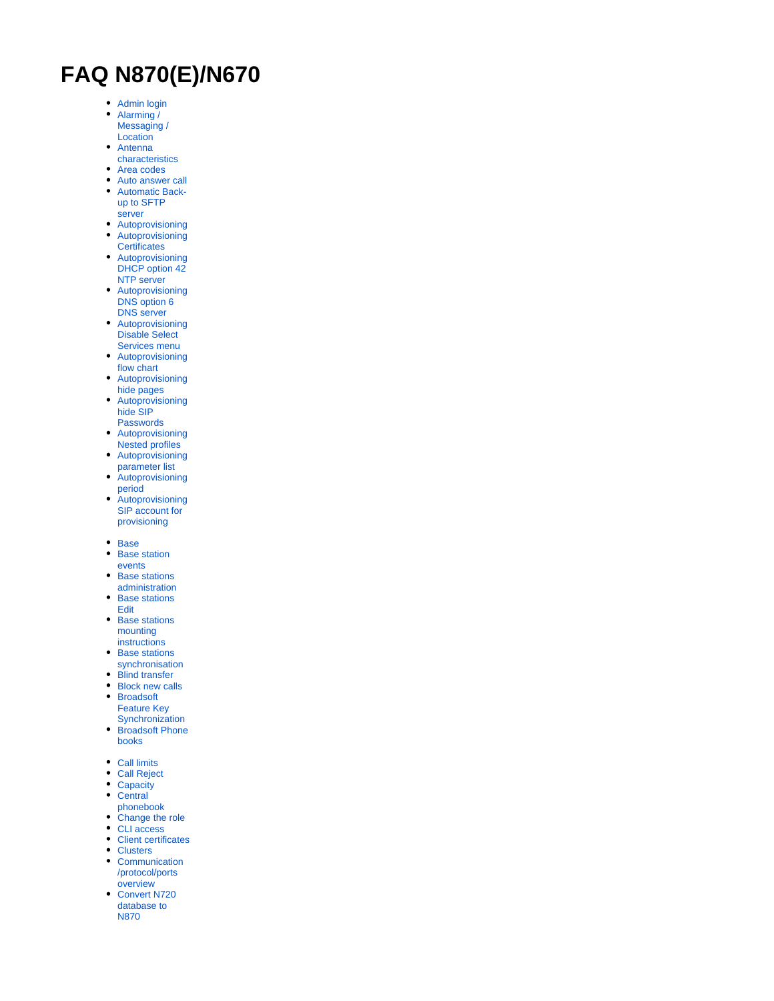## **FAQ N870(E)/N670**

- [Admin login](https://teamwork.gigaset.com/gigawiki/display/GPPPO/FAQ+Nx70+-+Logging+in+the+web-interface)
- $\bullet$ [Alarming /](https://teamwork.gigaset.com/gigawiki/pages/viewpage.action?pageId=1204224596)  [Messaging /](https://teamwork.gigaset.com/gigawiki/pages/viewpage.action?pageId=1204224596)
- **[Location](https://teamwork.gigaset.com/gigawiki/pages/viewpage.action?pageId=1204224596)** [Antenna](https://teamwork.gigaset.com/gigawiki/display/GPPPO/FAQ+Nx70+-+Antenna+characteristics)
- [characteristics](https://teamwork.gigaset.com/gigawiki/display/GPPPO/FAQ+Nx70+-+Antenna+characteristics)
- $\bullet$ [Area codes](https://teamwork.gigaset.com/gigawiki/display/GPPPO/FAQ+Nx70+-+Area+codes)
- [Auto answer call](https://teamwork.gigaset.com/gigawiki/display/GPPPO/FAQ+Nx70+-+Auto-answer+call)  $\bullet$ [Automatic Back-](https://teamwork.gigaset.com/gigawiki/display/GPPPO/FAQ+Nx70+-+Automatic+Backup+to+SFTP+server)
- [up to SFTP](https://teamwork.gigaset.com/gigawiki/display/GPPPO/FAQ+Nx70+-+Automatic+Backup+to+SFTP+server)  [server](https://teamwork.gigaset.com/gigawiki/display/GPPPO/FAQ+Nx70+-+Automatic+Backup+to+SFTP+server)
- [Autoprovisioning](https://teamwork.gigaset.com/gigawiki/display/GPPPO/FAQ+Nx70+-+Auto+provisioning)
- $\bullet$ [Autoprovisioning](https://teamwork.gigaset.com/gigawiki/display/GPPPO/FAQ+Nx70+-+Auto-provisioning%3A+Certificates)
- **[Certificates](https://teamwork.gigaset.com/gigawiki/display/GPPPO/FAQ+Nx70+-+Auto-provisioning%3A+Certificates)**  $\bullet$ [Autoprovisioning](https://teamwork.gigaset.com/gigawiki/display/GPPPO/FAQ+Nx70+-+Auto+provisioning%3A+DHCP+option+42+NTP+server)  DHCP option 42
- [NTP server](https://teamwork.gigaset.com/gigawiki/display/GPPPO/FAQ+Nx70+-+Auto+provisioning%3A+DHCP+option+42+NTP+server) [Autoprovisioning](https://teamwork.gigaset.com/gigawiki/display/GPPPO/FAQ+Nx70+-+Auto+provisioning%3A+DHCP+option+6+DNS+server)  DNS option 6 [DNS server](https://teamwork.gigaset.com/gigawiki/display/GPPPO/FAQ+Nx70+-+Auto+provisioning%3A+DHCP+option+6+DNS+server)
- [Autoprovisioning](https://teamwork.gigaset.com/gigawiki/pages/viewpage.action?pageId=936608486)  [Disable Select](https://teamwork.gigaset.com/gigawiki/pages/viewpage.action?pageId=936608486)
- [Services menu](https://teamwork.gigaset.com/gigawiki/pages/viewpage.action?pageId=936608486)  $\bullet$ [Autoprovisioning](https://teamwork.gigaset.com/gigawiki/display/GPPPO/FAQ+Nx70+-+Auto+provisioning%3A+flowchart)  [flow chart](https://teamwork.gigaset.com/gigawiki/display/GPPPO/FAQ+Nx70+-+Auto+provisioning%3A+flowchart)
- [Autoprovisioning](https://teamwork.gigaset.com/gigawiki/display/GPPPO/FAQ+Nx70+-+Auto+provisioning%3A+Hide+pages)  [hide pages](https://teamwork.gigaset.com/gigawiki/display/GPPPO/FAQ+Nx70+-+Auto+provisioning%3A+Hide+pages)
- $\bullet$ [Autoprovisioning](https://teamwork.gigaset.com/gigawiki/display/GPPPO/FAQ+Nx70+-+Auto+provisioning%3A+Hide+SIP+Passwords)  [hide SIP](https://teamwork.gigaset.com/gigawiki/display/GPPPO/FAQ+Nx70+-+Auto+provisioning%3A+Hide+SIP+Passwords)
- [Passwords](https://teamwork.gigaset.com/gigawiki/display/GPPPO/FAQ+Nx70+-+Auto+provisioning%3A+Hide+SIP+Passwords)  $\bullet$ [Autoprovisioning](https://teamwork.gigaset.com/gigawiki/display/GPPPO/FAQ+Nx70+-+Auto+provisioning%3A+Nested+profiles)
- [Nested profiles](https://teamwork.gigaset.com/gigawiki/display/GPPPO/FAQ+Nx70+-+Auto+provisioning%3A+Nested+profiles) [Autoprovisioning](https://teamwork.gigaset.com/gigawiki/display/GPPPO/FAQ+Nx70+-+Auto+provisioning%3A+Parameters)   $\bullet$
- [parameter list](https://teamwork.gigaset.com/gigawiki/display/GPPPO/FAQ+Nx70+-+Auto+provisioning%3A+Parameters)  $\bullet$ [Autoprovisioning](https://teamwork.gigaset.com/gigawiki/display/GPPPO/FAQ+Nx70+-+Auto+provisioning%3A+Period)
- [period](https://teamwork.gigaset.com/gigawiki/display/GPPPO/FAQ+Nx70+-+Auto+provisioning%3A+Period)  $\bullet$ **Autoprovisioning**
- [SIP account for](https://teamwork.gigaset.com/gigawiki/display/GPPPO/FAQ+Nx70+-+Auto+provisioning%3A+SIP+account+for+provisioning)  [provisioning](https://teamwork.gigaset.com/gigawiki/display/GPPPO/FAQ+Nx70+-+Auto+provisioning%3A+SIP+account+for+provisioning)
- [Base](https://teamwork.gigaset.com/gigawiki/pages/viewpage.action?pageId=826896101)
- $\bullet$ [Base station](https://teamwork.gigaset.com/gigawiki/display/GPPPO/FAQ+Nx70++-+Base+station+events)  [events](https://teamwork.gigaset.com/gigawiki/display/GPPPO/FAQ+Nx70++-+Base+station+events)
- [Base stations](https://teamwork.gigaset.com/gigawiki/display/GPPPO/FAQ+Nx70+-+Base+stations+administration)   $\bullet$
- [administration](https://teamwork.gigaset.com/gigawiki/display/GPPPO/FAQ+Nx70+-+Base+stations+administration) [Base stations](https://teamwork.gigaset.com/gigawiki/display/GPPPO/FAQ+Nx70+-+Base+stations+Edit)  [Edit](https://teamwork.gigaset.com/gigawiki/display/GPPPO/FAQ+Nx70+-+Base+stations+Edit)
- Base stations [mounting](https://teamwork.gigaset.com/gigawiki/display/GPPPO/FAQ+Nx70+-+Base+stations+mounting+instructions)  [instructions](https://teamwork.gigaset.com/gigawiki/display/GPPPO/FAQ+Nx70+-+Base+stations+mounting+instructions)
- $\bullet$ [Base stations](https://teamwork.gigaset.com/gigawiki/display/GPPPO/FAQ+Nx70+-+Base+stations+synchronisation)
- [synchronisation](https://teamwork.gigaset.com/gigawiki/display/GPPPO/FAQ+Nx70+-+Base+stations+synchronisation)
- $\bullet$ [Blind transfer](https://teamwork.gigaset.com/gigawiki/display/GPPPO/FAQ+Nx70+-+Blind+Transfer)
- [Block new calls](https://teamwork.gigaset.com/gigawiki/display/GPPPO/FAQ+Nx70+-+Block+new+calls) [Broadsoft](https://teamwork.gigaset.com/gigawiki/pages/viewpage.action?pageId=826889227)
- [Feature Key](https://teamwork.gigaset.com/gigawiki/pages/viewpage.action?pageId=826889227)
- **[Synchronization](https://teamwork.gigaset.com/gigawiki/pages/viewpage.action?pageId=826889227)**  $\bullet$ [Broadsoft Phone](https://teamwork.gigaset.com/gigawiki/pages/viewpage.action?pageId=826879804)  [books](https://teamwork.gigaset.com/gigawiki/pages/viewpage.action?pageId=826879804)
- [Call limits](https://teamwork.gigaset.com/gigawiki/pages/viewpage.action?pageId=646938662)
- $\bullet$ [Call Reject](https://teamwork.gigaset.com/gigawiki/display/GPPPO/FAQ+Nx70+-+Call+Reject+response)
- $\bullet$ **[Capacity](https://teamwork.gigaset.com/gigawiki/pages/viewpage.action?pageId=646938662)**
- $\bullet$ **Central**
- [phonebook](https://teamwork.gigaset.com/gigawiki/pages/viewpage.action?pageId=902955346)
- [Change the role](https://teamwork.gigaset.com/gigawiki/display/GPPPO/FAQ+Nx70+-+Change+the+role)  $\bullet$
- [CLI access](https://teamwork.gigaset.com/gigawiki/display/GPPPO/FAQ+Nx70+-+CLI+access+via+ssh) • [Client certificates](https://teamwork.gigaset.com/gigawiki/display/GPPPO/FAQ+Nx70+-+Client+certificates)
- $\bullet$ **[Clusters](https://teamwork.gigaset.com/gigawiki/display/GPPPO/FAQ+Nx70+-+Cluster+forming)**
- $\bullet$ **[Communication](https://teamwork.gigaset.com/gigawiki/pages/viewpage.action?pageId=1025376760)** [/protocol/ports](https://teamwork.gigaset.com/gigawiki/pages/viewpage.action?pageId=1025376760)
- **[overview](https://teamwork.gigaset.com/gigawiki/pages/viewpage.action?pageId=1025376760)**
- $\bullet$ [Convert N720](https://teamwork.gigaset.com/gigawiki/display/GPPPO/FAQ+Nx70+-+Convert+N720+database+to+N870)  [database to](https://teamwork.gigaset.com/gigawiki/display/GPPPO/FAQ+Nx70+-+Convert+N720+database+to+N870)  [N870](https://teamwork.gigaset.com/gigawiki/display/GPPPO/FAQ+Nx70+-+Convert+N720+database+to+N870)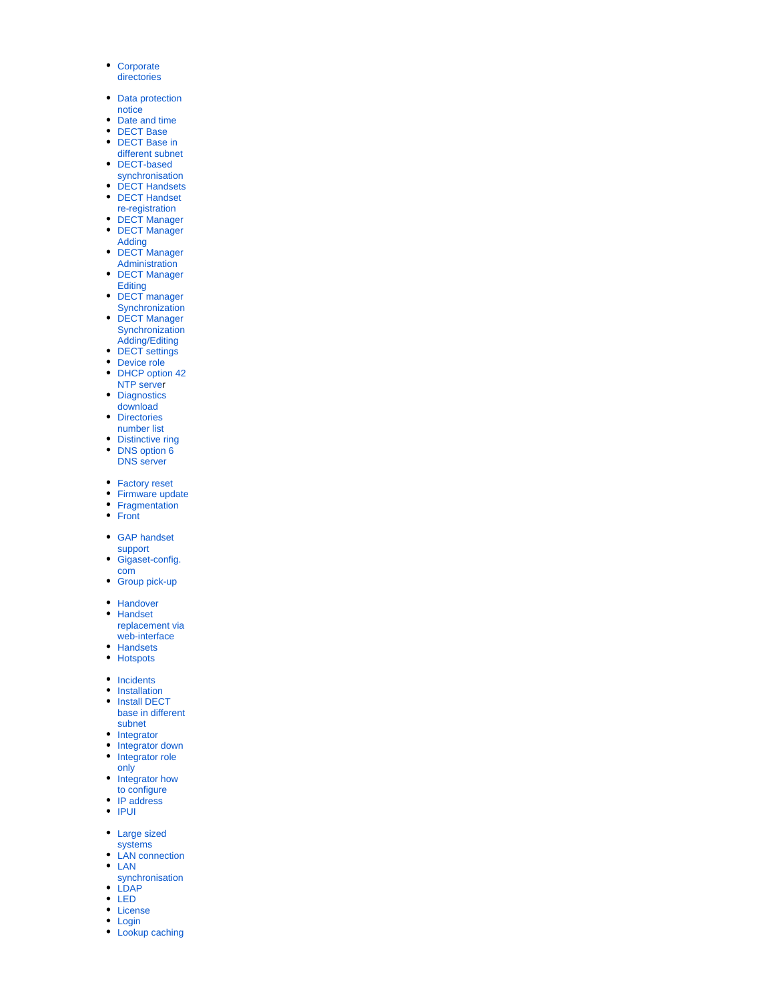- [Corporate](https://teamwork.gigaset.com/gigawiki/pages/viewpage.action?pageId=665193859)  [directories](https://teamwork.gigaset.com/gigawiki/pages/viewpage.action?pageId=665193859)
- [Data protection](https://teamwork.gigaset.com/gigawiki/display/GPPPO/FAQ+Nx70+-+Data+protection+notice)  [notice](https://teamwork.gigaset.com/gigawiki/display/GPPPO/FAQ+Nx70+-+Data+protection+notice)
- [Date and time](https://teamwork.gigaset.com/gigawiki/display/GPPPO/FAQ+Nx70+-+Date+and+time)
- [DECT Base](https://teamwork.gigaset.com/gigawiki/pages/viewpage.action?pageId=826896101)  $\bullet$
- $\bullet$ [DECT Base in](https://teamwork.gigaset.com/gigawiki/pages/viewpage.action?pageId=924844625)
- [different subnet](https://teamwork.gigaset.com/gigawiki/pages/viewpage.action?pageId=924844625) [DECT-based](https://teamwork.gigaset.com/gigawiki/display/GPPPO/FAQ+Nx70+-+DECT-based+synchronisation)
- [synchronisation](https://teamwork.gigaset.com/gigawiki/display/GPPPO/FAQ+Nx70+-+DECT-based+synchronisation)
- **[DECT Handsets](https://teamwork.gigaset.com/gigawiki/display/GPPPO/FAQ+Nx70+-+Handsets)**
- **DECT Handset**
- [re-registration](https://teamwork.gigaset.com/gigawiki/display/GPPPO/FAQ+Nx70+-+DECT+Handset+Re-registration)
- [DECT Manager](https://teamwork.gigaset.com/gigawiki/pages/viewpage.action?pageId=826896101) • **DECT Manager**
- [Adding](https://teamwork.gigaset.com/gigawiki/display/GPPPO/FAQ+Nx70+-+DECT+Manager+Adding)
- [DECT Manager](https://teamwork.gigaset.com/gigawiki/display/GPPPO/FAQ+Nx70+-+DECT+Manager+Administration)  [Administration](https://teamwork.gigaset.com/gigawiki/display/GPPPO/FAQ+Nx70+-+DECT+Manager+Administration)
- $\bullet$ [DECT Manager](https://teamwork.gigaset.com/gigawiki/display/GPPPO/FAQ+Nx70+-+DECT+Manager+Editing)  **[Editing](https://teamwork.gigaset.com/gigawiki/display/GPPPO/FAQ+Nx70+-+DECT+Manager+Editing)**
- DECT manager
- **[Synchronization](https://teamwork.gigaset.com/gigawiki/display/GPPPO/FAQ+Nx70+-+DECT+Manager+Synchronization)** DECT Manager **Synchronization**
- [Adding/Editing](https://teamwork.gigaset.com/gigawiki/pages/viewpage.action?pageId=830964193) [DECT settings](https://teamwork.gigaset.com/gigawiki/display/GPPPO/FAQ+Nx70+-+DECT+Settings)
- $\bullet$ [Device role](https://teamwork.gigaset.com/gigawiki/display/GPPPO/FAQ+Nx70+-+Installation)
- $\bullet$ [DHCP option 42](https://teamwork.gigaset.com/gigawiki/display/GPPPO/FAQ+Nx70+-+Auto+provisioning%3A+DHCP+option+42+NTP+server)
- [NTP serve](https://teamwork.gigaset.com/gigawiki/display/GPPPO/FAQ+Nx70+-+Auto+provisioning%3A+DHCP+option+42+NTP+server)r  $\bullet$
- **Diagnostics** [download](https://teamwork.gigaset.com/gigawiki/display/GPPPO/FAQ+Nx70+-+One+button+Diagnostics)
- $\bullet$ **Directories**
- [number list](https://teamwork.gigaset.com/gigawiki/display/GPPPO/FAQ+Nx70+-+Directories+number+list)
- [Distinctive ring](https://teamwork.gigaset.com/gigawiki/display/GPPPO/FAQ+Nx70+-+Distinctive+ring)
- $\bullet$ DNS option 6 [DNS server](https://teamwork.gigaset.com/gigawiki/display/GPPPO/FAQ+Nx70+-+Auto+provisioning%3A+DHCP+option+6+DNS+server)
- [Factory reset](https://teamwork.gigaset.com/gigawiki/display/GPPPO/FAQ+Nx70+-+Reboot+and+Reset+to+factory+default)
- $\bullet$ [Firmware update](https://teamwork.gigaset.com/gigawiki/display/GPPPO/FAQ+Nx70+-+Firmware+update)
- **[Fragmentation](https://teamwork.gigaset.com/gigawiki/display/GPPPO/FAQ+Nx70+-+Fragmentation)**  $\bullet$
- [Front](https://teamwork.gigaset.com/gigawiki/display/GPPPO/FAQ+Nx70+-+Front)
- [GAP handset](https://teamwork.gigaset.com/gigawiki/display/GPPPO/FAQ+Nx70+-+GAP+handset+support)  [support](https://teamwork.gigaset.com/gigawiki/display/GPPPO/FAQ+Nx70+-+GAP+handset+support)
- [Gigaset-config.](https://teamwork.gigaset.com/gigawiki/display/GPPPO/FAQ+Nx70+-+Gigaset-config.com)  $\bullet$ [com](https://teamwork.gigaset.com/gigawiki/display/GPPPO/FAQ+Nx70+-+Gigaset-config.com)
- [Group pick-up](https://teamwork.gigaset.com/gigawiki/display/GPPPO/FAQ+Nx70+-+Group+pick-up)
- [Handover](https://teamwork.gigaset.com/gigawiki/display/GPPPO/FAQ+Nx70+-+Handover)
- $\bullet$ [Handset](https://teamwork.gigaset.com/gigawiki/pages/viewpage.action?pageId=829376428)  [replacement via](https://teamwork.gigaset.com/gigawiki/pages/viewpage.action?pageId=829376428)
- [web-interface](https://teamwork.gigaset.com/gigawiki/pages/viewpage.action?pageId=829376428)
- $\bullet$ [Handsets](https://teamwork.gigaset.com/gigawiki/display/GPPPO/FAQ+Nx70+-+Handsets)
- [Hotspots](https://teamwork.gigaset.com/gigawiki/display/GPPPO/FAQ+Nx70+-+Hotspots%2C+increase+capacity)
- [Incidents](https://teamwork.gigaset.com/gigawiki/display/GPPPO/FAQ+Nx70+-+Incidents)
- $\bullet$ [I](https://teamwork.gigaset.com/gigawiki/pages/viewpage.action?pageId=605716698)[nstallation](https://teamwork.gigaset.com/gigawiki/display/GPPPO/FAQ+Nx70+-+Installation)
- $\bullet$ [Install DECT](https://teamwork.gigaset.com/gigawiki/display/GPPPO/FAQ+Nx70+-+Install+DECT+base+in+different+subnet)  [base in different](https://teamwork.gigaset.com/gigawiki/display/GPPPO/FAQ+Nx70+-+Install+DECT+base+in+different+subnet)  [subnet](https://teamwork.gigaset.com/gigawiki/display/GPPPO/FAQ+Nx70+-+Install+DECT+base+in+different+subnet)
- $\bullet$ [Integrator](https://teamwork.gigaset.com/gigawiki/display/GPPPO/FAQ+Nx70+-+Integrator)
- [Integrator down](https://teamwork.gigaset.com/gigawiki/display/GPPPO/FAQ+-+Integrator+is+down)
- $\bullet$ [Integrator role](https://teamwork.gigaset.com/gigawiki/display/GPPPO/FAQ+-+Integrator+role+N870+only)
- [only](https://teamwork.gigaset.com/gigawiki/display/GPPPO/FAQ+-+Integrator+role+N870+only)
- $\bullet$ [Integrator how](https://teamwork.gigaset.com/gigawiki/pages/viewpage.action?pageId=820249298)
- [to configure](https://teamwork.gigaset.com/gigawiki/pages/viewpage.action?pageId=820249298)
- $\bullet$ [IP address](https://teamwork.gigaset.com/gigawiki/display/GPPPO/FAQ+Nx70+-+IP+address)
- [IPUI](https://teamwork.gigaset.com/gigawiki/display/GPPPO/FAQ+Nx70+-+IPUI)
- Large sized
- [systems](https://teamwork.gigaset.com/gigawiki/display/GPPPO/FAQ+Nx70+-+Enterprise+%28Large%29+size+system)
- $\bullet$ [LAN connection](https://teamwork.gigaset.com/gigawiki/display/GPPPO/FAQ+Nx70+-+LAN+connection)
- [LAN](https://teamwork.gigaset.com/gigawiki/display/GPPPO/FAQ+Nx70+-+LAN+synchronisation)
- [synchronisation](https://teamwork.gigaset.com/gigawiki/display/GPPPO/FAQ+Nx70+-+LAN+synchronisation)
- [LDAP](https://teamwork.gigaset.com/gigawiki/pages/viewpage.action?pageId=665193859)
- [LED](https://teamwork.gigaset.com/gigawiki/display/GPPPO/FAQ+Nx70+-+LED)
- [License](https://teamwork.gigaset.com/gigawiki/display/GPPPO/FAQ+Nx70+-+License)
- [Login](https://teamwork.gigaset.com/gigawiki/display/GPPPO/FAQ+Nx70+-+Logging+in+the+web-interface)
- [Lookup caching](https://teamwork.gigaset.com/gigawiki/display/GPPPO/FAQ+Nx70+-+Lookup+caching)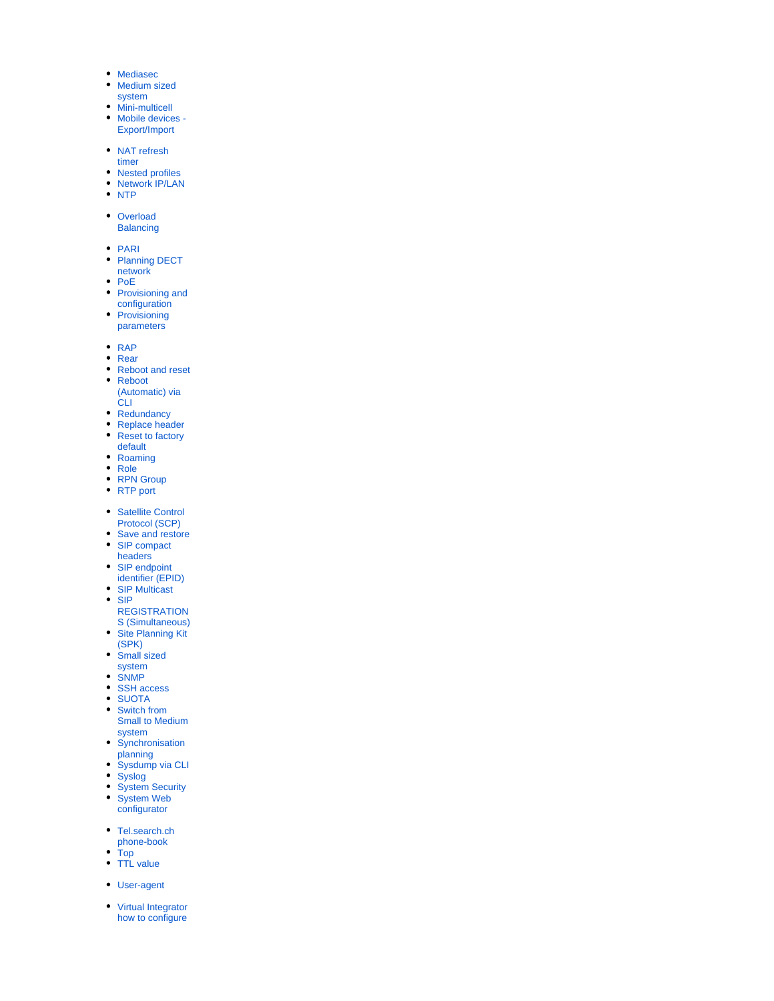- $\bullet$ [Mediasec](https://teamwork.gigaset.com/gigawiki/display/GPPPO/FAQ+Nx70+-+Mediasec)
- $\bullet$ [Medium sized](https://teamwork.gigaset.com/gigawiki/display/GPPPO/FAQ+Nx70+-+Medium+size+system)
- [system](https://teamwork.gigaset.com/gigawiki/display/GPPPO/FAQ+Nx70+-+Medium+size+system)  $\bullet$
- [Mini-multicell](https://teamwork.gigaset.com/gigawiki/display/GPPPO/FAQ+Nx70+-+Mini-multicell)  $\bullet$ [Mobile devices -](https://teamwork.gigaset.com/gigawiki/pages/viewpage.action?pageId=1094287455)
- [Export/Import](https://teamwork.gigaset.com/gigawiki/pages/viewpage.action?pageId=1094287455)
- NAT refresh
- [timer](https://teamwork.gigaset.com/gigawiki/display/GPPPO/FAQ+Nx70+-+NAT+refresh+timer)  $\bullet$
- [Nested profiles](https://teamwork.gigaset.com/gigawiki/display/GPPPO/FAQ+Nx70+-+Auto+provisioning%3A+Nested+profiles)  $\bullet$ [Network IP/LAN](https://teamwork.gigaset.com/gigawiki/pages/viewpage.action?pageId=826885578)
- $\cdot$  [NTP](https://teamwork.gigaset.com/gigawiki/display/GPPPO/FAQ+Nx70+-+Date+and+time)
- 
- Overload **[Balancing](https://teamwork.gigaset.com/gigawiki/display/GPPPO/FAQ+Nx70+-+Overload+balancing)**
- 
- $\bullet$  [PARI](https://teamwork.gigaset.com/gigawiki/display/GPPPO/FAQ+Nx70+-+How+to+prepare+one+DECT+manager+installations+to+be+added+later+to+Virtual+integrator)
- [Planning DECT](https://teamwork.gigaset.com/gigawiki/display/GPPPO/FAQ+Nx70+-+Planning+your+DECT+wireless+network)   $\bullet$
- [network](https://teamwork.gigaset.com/gigawiki/display/GPPPO/FAQ+Nx70+-+Planning+your+DECT+wireless+network)
- [PoE](https://teamwork.gigaset.com/gigawiki/display/GPPPO/FAQ+Power+over+Ethernet+%28PoE%29+-+classes+for+Gigaset+pro+devices)  $\bullet$  $\bullet$
- [Provisioning and](https://teamwork.gigaset.com/gigawiki/display/GPPPO/FAQ+Nx70+-+Provisioning+and+configuration)
- [configuration](https://teamwork.gigaset.com/gigawiki/display/GPPPO/FAQ+Nx70+-+Provisioning+and+configuration) **Provisioning**  $\bullet$
- [parameters](https://teamwork.gigaset.com/gigawiki/display/GPPPO/FAQ+Nx70+-+Auto+provisioning%3A+Parameters)
- $\bullet$  [RAP](https://teamwork.gigaset.com/gigawiki/pages/viewpage.action?pageId=828671569)
- [Rear](https://teamwork.gigaset.com/gigawiki/display/GPPPO/FAQ+Nx70+-+Top+and+Rear)
- $\bullet$ [Reboot and reset](https://teamwork.gigaset.com/gigawiki/display/GPPPO/FAQ+Nx70+-+Reboot+and+Reset+to+factory+default)
- $\bullet$ [Reboot](https://teamwork.gigaset.com/gigawiki/display/GPPPO/FAQ+Nx70+-+Reboot+%28Automatic%29+via+CLI)  [\(Automatic\) via](https://teamwork.gigaset.com/gigawiki/display/GPPPO/FAQ+Nx70+-+Reboot+%28Automatic%29+via+CLI)  [CLI](https://teamwork.gigaset.com/gigawiki/display/GPPPO/FAQ+Nx70+-+Reboot+%28Automatic%29+via+CLI)
- [Redundancy](https://teamwork.gigaset.com/gigawiki/display/GPPPO/FAQ+Nx70+-+Redundancy)
- $\bullet$ [Replace header](https://teamwork.gigaset.com/gigawiki/display/GPPPO/FAQ+Nx70+-+Replace+header)
- $\bullet$ [Reset to factory](https://teamwork.gigaset.com/gigawiki/display/GPPPO/FAQ+Nx70+-+Reboot+and+Reset+to+factory+default)
- [default](https://teamwork.gigaset.com/gigawiki/display/GPPPO/FAQ+Nx70+-+Reboot+and+Reset+to+factory+default)
- $\bullet$ [Roaming](https://teamwork.gigaset.com/gigawiki/display/GPPPO/FAQ+Nx70+-+Roaming)
- $\bullet$ [Role](https://teamwork.gigaset.com/gigawiki/display/GPPPO/FAQ+Nx70+-+Installation)
- $\bullet$ [RPN Group](https://teamwork.gigaset.com/gigawiki/display/GPPPO/FAQ+Nx70+-+RPN+Group)
- [RTP port](https://teamwork.gigaset.com/gigawiki/display/GPPPO/FAQ+Nx70+-+RTP+port)
- Satellite Control
- [Protocol \(SCP\)](https://teamwork.gigaset.com/gigawiki/pages/viewpage.action?pageId=924844625)
- $\bullet$ [Save and restore](https://teamwork.gigaset.com/gigawiki/display/GPPPO/FAQ+Nx70+-+Save+and+restore)
- $\bullet$ [SIP compact](https://teamwork.gigaset.com/gigawiki/display/GPPPO/FAQ+Nx70+-+SIP+compact+headers)  [headers](https://teamwork.gigaset.com/gigawiki/display/GPPPO/FAQ+Nx70+-+SIP+compact+headers)<sup>1</sup>
- SIP endpoint
- [identifier \(EPID\)](https://teamwork.gigaset.com/gigawiki/pages/viewpage.action?pageId=1312654698)
- $\bullet$ [SIP Multicast](https://teamwork.gigaset.com/gigawiki/display/GPPPO/FAQ+Nx70+-+Auto+provisioning%3A+SIP+Multicast)  $\bullet$ [SIP](https://teamwork.gigaset.com/gigawiki/pages/viewpage.action?pageId=972652885)
- [REGISTRATION](https://teamwork.gigaset.com/gigawiki/pages/viewpage.action?pageId=972652885)
- [S \(Simultaneous\)](https://teamwork.gigaset.com/gigawiki/pages/viewpage.action?pageId=972652885)  $\bullet$ [Site Planning Kit](https://teamwork.gigaset.com/gigawiki/pages/viewpage.action?pageId=1100382448)
- [\(SPK\)](https://teamwork.gigaset.com/gigawiki/pages/viewpage.action?pageId=1100382448)  $\bullet$
- [Small sized](https://teamwork.gigaset.com/gigawiki/display/GPPPO/FAQ+Nx70+-+Small+size+system)
- [system](https://teamwork.gigaset.com/gigawiki/display/GPPPO/FAQ+Nx70+-+Small+size+system) [SNMP](https://teamwork.gigaset.com/gigawiki/display/GPPPO/FAQ+Nx70+-+SNMP+explained)  $\bullet$
- [SSH access](https://teamwork.gigaset.com/gigawiki/display/GPPPO/FAQ+Nx70+-+CLI+access+via+ssh)
- [SUOTA](https://teamwork.gigaset.com/gigawiki/display/GPPPO/FAQ+Nx70+-+SUOTA)
- [Switch from](https://teamwork.gigaset.com/gigawiki/display/GPPPO/FAQ+Nx70+-+Switch+from+Small+to+Medium+system)  [Small to Medium](https://teamwork.gigaset.com/gigawiki/display/GPPPO/FAQ+Nx70+-+Switch+from+Small+to+Medium+system)
- [system](https://teamwork.gigaset.com/gigawiki/display/GPPPO/FAQ+Nx70+-+Switch+from+Small+to+Medium+system) [Synchronisation](https://teamwork.gigaset.com/gigawiki/display/GPPPO/FAQ+Nx70+-+Synchronisation+planning)
- [planning](https://teamwork.gigaset.com/gigawiki/display/GPPPO/FAQ+Nx70+-+Synchronisation+planning) [Sysdump via CLI](https://teamwork.gigaset.com/gigawiki/display/GPPPO/FAQ+Nx70+-+Sysdump+via+CLI)  $\bullet$
- $\bullet$ [Syslog](https://teamwork.gigaset.com/gigawiki/display/GPPPO/FAQ+Nx70+-+Syslog)
- $\bullet$ [System Security](https://teamwork.gigaset.com/gigawiki/display/GPPPO/FAQ+Nx70+-+System+Security)
- $\bullet$ [System Web](https://teamwork.gigaset.com/gigawiki/display/GPPPO/FAQ+Nx70+-+System+Web+configurator)
- [configurator](https://teamwork.gigaset.com/gigawiki/display/GPPPO/FAQ+Nx70+-+System+Web+configurator)
- Tel.search.ch
- [phone-book](https://teamwork.gigaset.com/gigawiki/display/GPPPO/FAQ+Nx70+-+Tel.search.ch+phonebook)
- [Top](https://teamwork.gigaset.com/gigawiki/display/GPPPO/FAQ+Nx70+-+Top+and+Rear) • [TTL value](https://teamwork.gigaset.com/gigawiki/display/GPPPO/FAQ+Nx70+-+Auto+provisioning%3A+TTL+value)
- 
- [User-agent](https://teamwork.gigaset.com/gigawiki/display/GPPPO/FAQ+Nx70+-+User+agent)
- $\bullet$ [Virtual Integrator](https://teamwork.gigaset.com/gigawiki/pages/viewpage.action?pageId=820249298)  [how to configure](https://teamwork.gigaset.com/gigawiki/pages/viewpage.action?pageId=820249298)